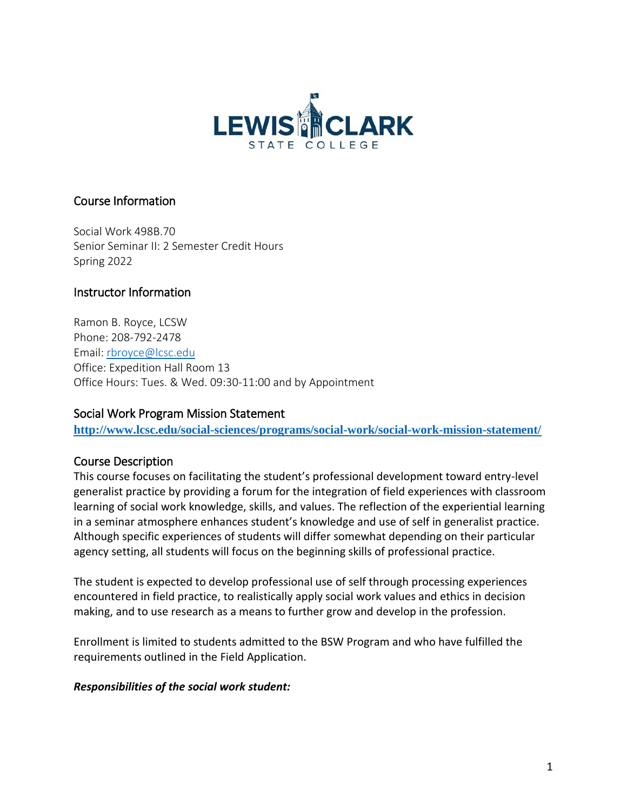

## Course Information

Social Work 498B.70 Senior Seminar II: 2 Semester Credit Hours Spring 2022

### Instructor Information

Ramon B. Royce, LCSW Phone: 208-792-2478 Email: [rbroyce@lcsc.edu](mailto:rbroyce@lcsc.edu) Office: Expedition Hall Room 13 Office Hours: Tues. & Wed. 09:30-11:00 and by Appointment

#### Social Work Program Mission Statement

**<http://www.lcsc.edu/social-sciences/programs/social-work/social-work-mission-statement/>**

#### Course Description

This course focuses on facilitating the student's professional development toward entry-level generalist practice by providing a forum for the integration of field experiences with classroom learning of social work knowledge, skills, and values. The reflection of the experiential learning in a seminar atmosphere enhances student's knowledge and use of self in generalist practice. Although specific experiences of students will differ somewhat depending on their particular agency setting, all students will focus on the beginning skills of professional practice.

The student is expected to develop professional use of self through processing experiences encountered in field practice, to realistically apply social work values and ethics in decision making, and to use research as a means to further grow and develop in the profession.

Enrollment is limited to students admitted to the BSW Program and who have fulfilled the requirements outlined in the Field Application.

#### *Responsibilities of the social work student:*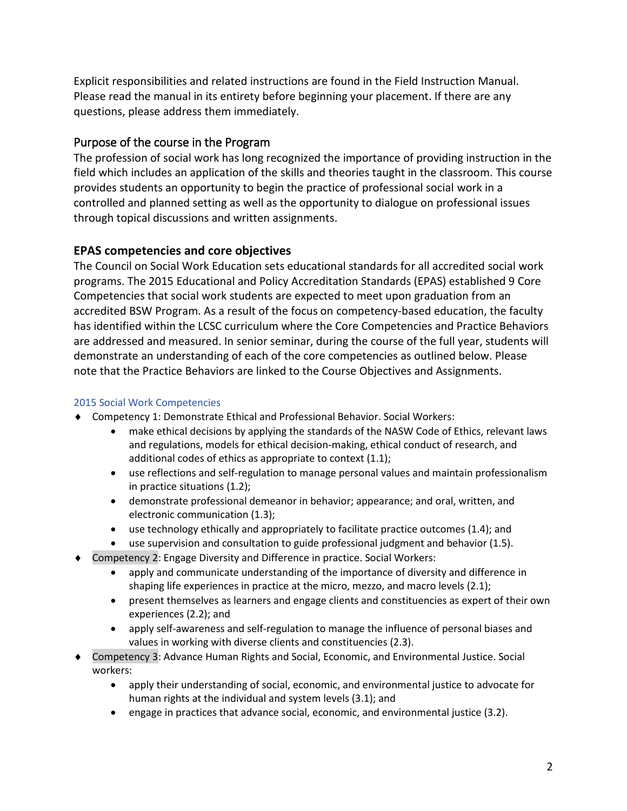Explicit responsibilities and related instructions are found in the Field Instruction Manual. Please read the manual in its entirety before beginning your placement. If there are any questions, please address them immediately.

## Purpose of the course in the Program

The profession of social work has long recognized the importance of providing instruction in the field which includes an application of the skills and theories taught in the classroom. This course provides students an opportunity to begin the practice of professional social work in a controlled and planned setting as well as the opportunity to dialogue on professional issues through topical discussions and written assignments.

## **EPAS competencies and core objectives**

The Council on Social Work Education sets educational standards for all accredited social work programs. The 2015 Educational and Policy Accreditation Standards (EPAS) established 9 Core Competencies that social work students are expected to meet upon graduation from an accredited BSW Program. As a result of the focus on competency-based education, the faculty has identified within the LCSC curriculum where the Core Competencies and Practice Behaviors are addressed and measured. In senior seminar, during the course of the full year, students will demonstrate an understanding of each of the core competencies as outlined below. Please note that the Practice Behaviors are linked to the Course Objectives and Assignments.

#### 2015 Social Work Competencies

- Competency 1: Demonstrate Ethical and Professional Behavior. Social Workers:
	- make ethical decisions by applying the standards of the NASW Code of Ethics, relevant laws and regulations, models for ethical decision-making, ethical conduct of research, and additional codes of ethics as appropriate to context (1.1);
	- use reflections and self-regulation to manage personal values and maintain professionalism in practice situations (1.2);
	- demonstrate professional demeanor in behavior; appearance; and oral, written, and electronic communication (1.3);
	- use technology ethically and appropriately to facilitate practice outcomes (1.4); and
	- use supervision and consultation to guide professional judgment and behavior (1.5).
- Competency 2: Engage Diversity and Difference in practice. Social Workers:
	- apply and communicate understanding of the importance of diversity and difference in shaping life experiences in practice at the micro, mezzo, and macro levels (2.1);
	- present themselves as learners and engage clients and constituencies as expert of their own experiences (2.2); and
	- apply self-awareness and self-regulation to manage the influence of personal biases and values in working with diverse clients and constituencies (2.3).
- Competency 3: Advance Human Rights and Social, Economic, and Environmental Justice. Social workers:
	- apply their understanding of social, economic, and environmental justice to advocate for human rights at the individual and system levels (3.1); and
	- engage in practices that advance social, economic, and environmental justice (3.2).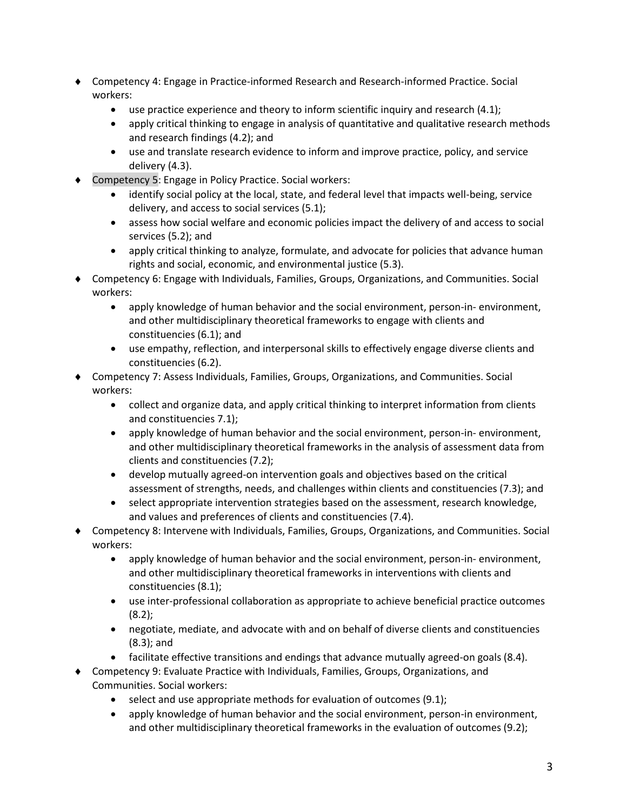- Competency 4: Engage in Practice-informed Research and Research-informed Practice. Social workers:
	- use practice experience and theory to inform scientific inquiry and research (4.1);
	- apply critical thinking to engage in analysis of quantitative and qualitative research methods and research findings (4.2); and
	- use and translate research evidence to inform and improve practice, policy, and service delivery (4.3).
- Competency 5: Engage in Policy Practice. Social workers:
	- identify social policy at the local, state, and federal level that impacts well-being, service delivery, and access to social services (5.1);
	- assess how social welfare and economic policies impact the delivery of and access to social services (5.2); and
	- apply critical thinking to analyze, formulate, and advocate for policies that advance human rights and social, economic, and environmental justice (5.3).
- Competency 6: Engage with Individuals, Families, Groups, Organizations, and Communities. Social workers:
	- apply knowledge of human behavior and the social environment, person-in- environment, and other multidisciplinary theoretical frameworks to engage with clients and constituencies (6.1); and
	- use empathy, reflection, and interpersonal skills to effectively engage diverse clients and constituencies (6.2).
- Competency 7: Assess Individuals, Families, Groups, Organizations, and Communities. Social workers:
	- collect and organize data, and apply critical thinking to interpret information from clients and constituencies 7.1);
	- apply knowledge of human behavior and the social environment, person-in- environment, and other multidisciplinary theoretical frameworks in the analysis of assessment data from clients and constituencies (7.2);
	- develop mutually agreed-on intervention goals and objectives based on the critical assessment of strengths, needs, and challenges within clients and constituencies (7.3); and
	- select appropriate intervention strategies based on the assessment, research knowledge, and values and preferences of clients and constituencies (7.4).
- Competency 8: Intervene with Individuals, Families, Groups, Organizations, and Communities. Social workers:
	- apply knowledge of human behavior and the social environment, person-in- environment, and other multidisciplinary theoretical frameworks in interventions with clients and constituencies (8.1);
	- use inter-professional collaboration as appropriate to achieve beneficial practice outcomes (8.2);
	- negotiate, mediate, and advocate with and on behalf of diverse clients and constituencies (8.3); and
	- facilitate effective transitions and endings that advance mutually agreed-on goals (8.4).
- Competency 9: Evaluate Practice with Individuals, Families, Groups, Organizations, and Communities. Social workers:
	- select and use appropriate methods for evaluation of outcomes (9.1);
	- apply knowledge of human behavior and the social environment, person-in environment, and other multidisciplinary theoretical frameworks in the evaluation of outcomes (9.2);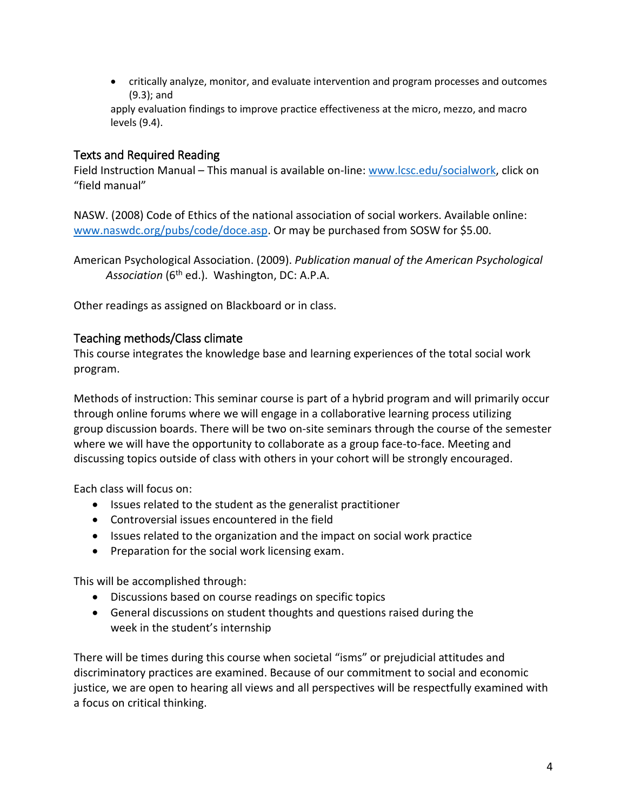• critically analyze, monitor, and evaluate intervention and program processes and outcomes (9.3); and

apply evaluation findings to improve practice effectiveness at the micro, mezzo, and macro levels (9.4).

### Texts and Required Reading

Field Instruction Manual – This manual is available on-line: [www.lcsc.edu/socialwork,](http://www.lcsc.edu/socialwork) click on "field manual"

NASW. (2008) Code of Ethics of the national association of social workers. Available online: [www.naswdc.org/pubs/code/doce.asp.](http://www.naswdc.org/pubs/code/doce.asp) Or may be purchased from SOSW for \$5.00.

American Psychological Association. (2009). *Publication manual of the American Psychological Association* (6th ed.). Washington, DC: A.P.A.

Other readings as assigned on Blackboard or in class.

### Teaching methods/Class climate

This course integrates the knowledge base and learning experiences of the total social work program.

Methods of instruction: This seminar course is part of a hybrid program and will primarily occur through online forums where we will engage in a collaborative learning process utilizing group discussion boards. There will be two on-site seminars through the course of the semester where we will have the opportunity to collaborate as a group face-to-face. Meeting and discussing topics outside of class with others in your cohort will be strongly encouraged.

Each class will focus on:

- Issues related to the student as the generalist practitioner
- Controversial issues encountered in the field
- Issues related to the organization and the impact on social work practice
- Preparation for the social work licensing exam.

This will be accomplished through:

- Discussions based on course readings on specific topics
- General discussions on student thoughts and questions raised during the week in the student's internship

There will be times during this course when societal "isms" or prejudicial attitudes and discriminatory practices are examined. Because of our commitment to social and economic justice, we are open to hearing all views and all perspectives will be respectfully examined with a focus on critical thinking.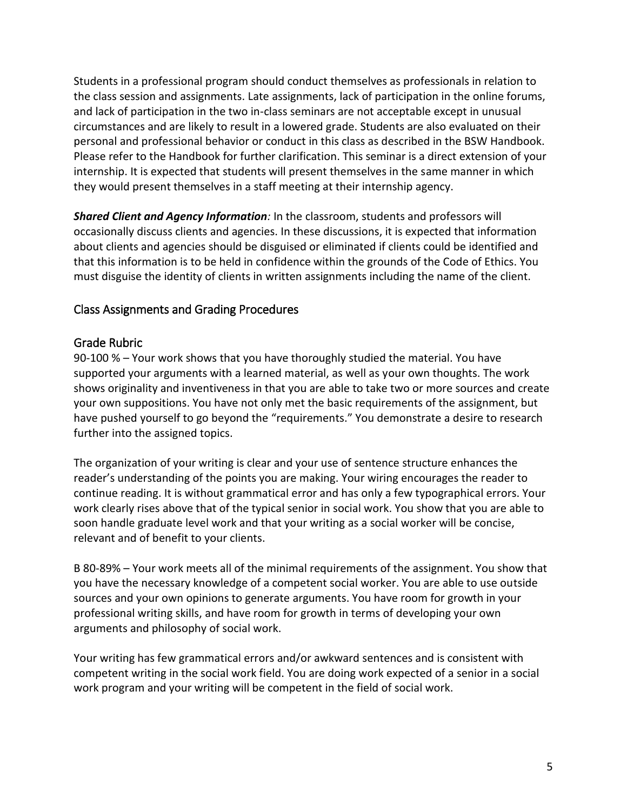Students in a professional program should conduct themselves as professionals in relation to the class session and assignments. Late assignments, lack of participation in the online forums, and lack of participation in the two in-class seminars are not acceptable except in unusual circumstances and are likely to result in a lowered grade. Students are also evaluated on their personal and professional behavior or conduct in this class as described in the BSW Handbook. Please refer to the Handbook for further clarification. This seminar is a direct extension of your internship. It is expected that students will present themselves in the same manner in which they would present themselves in a staff meeting at their internship agency.

*Shared Client and Agency Information:* In the classroom, students and professors will occasionally discuss clients and agencies. In these discussions, it is expected that information about clients and agencies should be disguised or eliminated if clients could be identified and that this information is to be held in confidence within the grounds of the Code of Ethics. You must disguise the identity of clients in written assignments including the name of the client.

## Class Assignments and Grading Procedures

### Grade Rubric

90-100 % – Your work shows that you have thoroughly studied the material. You have supported your arguments with a learned material, as well as your own thoughts. The work shows originality and inventiveness in that you are able to take two or more sources and create your own suppositions. You have not only met the basic requirements of the assignment, but have pushed yourself to go beyond the "requirements." You demonstrate a desire to research further into the assigned topics.

The organization of your writing is clear and your use of sentence structure enhances the reader's understanding of the points you are making. Your wiring encourages the reader to continue reading. It is without grammatical error and has only a few typographical errors. Your work clearly rises above that of the typical senior in social work. You show that you are able to soon handle graduate level work and that your writing as a social worker will be concise, relevant and of benefit to your clients.

B 80-89% – Your work meets all of the minimal requirements of the assignment. You show that you have the necessary knowledge of a competent social worker. You are able to use outside sources and your own opinions to generate arguments. You have room for growth in your professional writing skills, and have room for growth in terms of developing your own arguments and philosophy of social work.

Your writing has few grammatical errors and/or awkward sentences and is consistent with competent writing in the social work field. You are doing work expected of a senior in a social work program and your writing will be competent in the field of social work.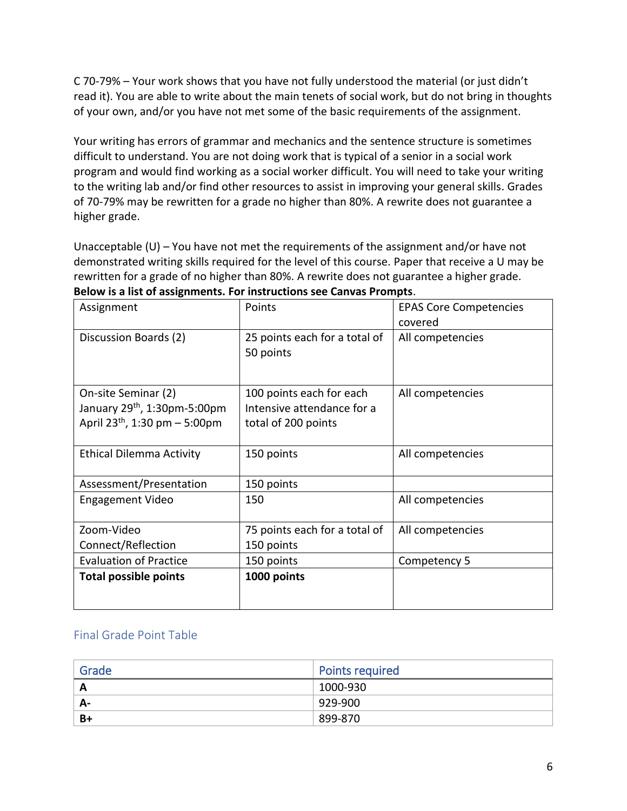C 70-79% – Your work shows that you have not fully understood the material (or just didn't read it). You are able to write about the main tenets of social work, but do not bring in thoughts of your own, and/or you have not met some of the basic requirements of the assignment.

Your writing has errors of grammar and mechanics and the sentence structure is sometimes difficult to understand. You are not doing work that is typical of a senior in a social work program and would find working as a social worker difficult. You will need to take your writing to the writing lab and/or find other resources to assist in improving your general skills. Grades of 70-79% may be rewritten for a grade no higher than 80%. A rewrite does not guarantee a higher grade.

Unacceptable (U) – You have not met the requirements of the assignment and/or have not demonstrated writing skills required for the level of this course. Paper that receive a U may be rewritten for a grade of no higher than 80%. A rewrite does not guarantee a higher grade. **Below is a list of assignments. For instructions see Canvas Prompts**.

| Assignment                                                                                                     | Points                                                                        | <b>EPAS Core Competencies</b><br>covered |
|----------------------------------------------------------------------------------------------------------------|-------------------------------------------------------------------------------|------------------------------------------|
| Discussion Boards (2)                                                                                          | 25 points each for a total of<br>50 points                                    | All competencies                         |
| On-site Seminar (2)<br>January 29 <sup>th</sup> , 1:30pm-5:00pm<br>April 23 <sup>th</sup> , 1:30 pm $-$ 5:00pm | 100 points each for each<br>Intensive attendance for a<br>total of 200 points | All competencies                         |
| <b>Ethical Dilemma Activity</b>                                                                                | 150 points                                                                    | All competencies                         |
| Assessment/Presentation                                                                                        | 150 points                                                                    |                                          |
| <b>Engagement Video</b>                                                                                        | 150                                                                           | All competencies                         |
| Zoom-Video                                                                                                     | 75 points each for a total of                                                 | All competencies                         |
| Connect/Reflection                                                                                             | 150 points                                                                    |                                          |
| <b>Evaluation of Practice</b>                                                                                  | 150 points                                                                    | Competency 5                             |
| <b>Total possible points</b>                                                                                   | 1000 points                                                                   |                                          |

## Final Grade Point Table

| Grade | <b>Points required</b> |
|-------|------------------------|
| A     | 1000-930               |
| А-    | 929-900                |
| B+    | 899-870                |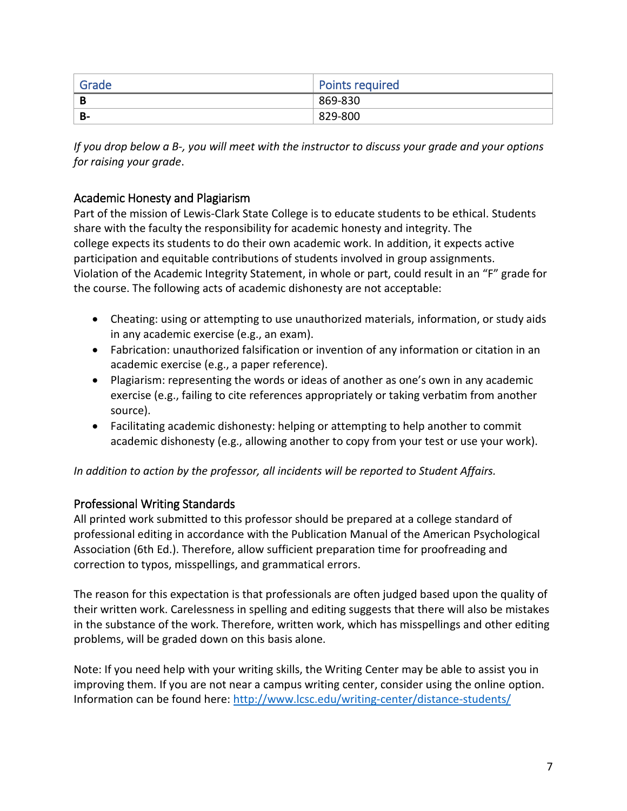| ' Grade | <b>Points required</b> |
|---------|------------------------|
| В       | 869-830                |
| B-      | 829-800                |

*If you drop below a B-, you will meet with the instructor to discuss your grade and your options for raising your grade*.

## Academic Honesty and Plagiarism

Part of the mission of Lewis-Clark State College is to educate students to be ethical. Students share with the faculty the responsibility for academic honesty and integrity. The college expects its students to do their own academic work. In addition, it expects active participation and equitable contributions of students involved in group assignments. Violation of the Academic Integrity Statement, in whole or part, could result in an "F" grade for the course. The following acts of academic dishonesty are not acceptable:

- Cheating: using or attempting to use unauthorized materials, information, or study aids in any academic exercise (e.g., an exam).
- Fabrication: unauthorized falsification or invention of any information or citation in an academic exercise (e.g., a paper reference).
- Plagiarism: representing the words or ideas of another as one's own in any academic exercise (e.g., failing to cite references appropriately or taking verbatim from another source).
- Facilitating academic dishonesty: helping or attempting to help another to commit academic dishonesty (e.g., allowing another to copy from your test or use your work).

*In addition to action by the professor, all incidents will be reported to Student Affairs.*

## Professional Writing Standards

All printed work submitted to this professor should be prepared at a college standard of professional editing in accordance with the Publication Manual of the American Psychological Association (6th Ed.). Therefore, allow sufficient preparation time for proofreading and correction to typos, misspellings, and grammatical errors.

The reason for this expectation is that professionals are often judged based upon the quality of their written work. Carelessness in spelling and editing suggests that there will also be mistakes in the substance of the work. Therefore, written work, which has misspellings and other editing problems, will be graded down on this basis alone.

Note: If you need help with your writing skills, the Writing Center may be able to assist you in improving them. If you are not near a campus writing center, consider using the online option. Information can be found here:<http://www.lcsc.edu/writing-center/distance-students/>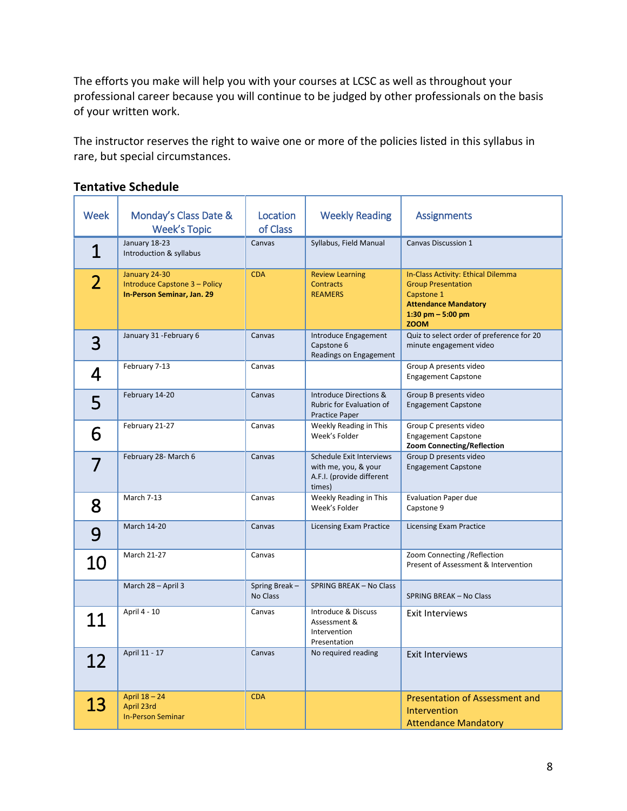The efforts you make will help you with your courses at LCSC as well as throughout your professional career because you will continue to be judged by other professionals on the basis of your written work.

The instructor reserves the right to waive one or more of the policies listed in this syllabus in rare, but special circumstances.

| Week           | Monday's Class Date &<br><b>Week's Topic</b>                                 | Location<br>of Class      | <b>Weekly Reading</b>                                                                   | <b>Assignments</b>                                                                                                                                |
|----------------|------------------------------------------------------------------------------|---------------------------|-----------------------------------------------------------------------------------------|---------------------------------------------------------------------------------------------------------------------------------------------------|
| $\mathbf 1$    | January 18-23<br>Introduction & syllabus                                     | Canvas                    | Syllabus, Field Manual                                                                  | <b>Canvas Discussion 1</b>                                                                                                                        |
| $\overline{2}$ | January 24-30<br>Introduce Capstone 3 - Policy<br>In-Person Seminar, Jan. 29 | <b>CDA</b>                | <b>Review Learning</b><br><b>Contracts</b><br><b>REAMERS</b>                            | In-Class Activity: Ethical Dilemma<br><b>Group Presentation</b><br>Capstone 1<br><b>Attendance Mandatory</b><br>1:30 pm $-5:00$ pm<br><b>ZOOM</b> |
| 3              | January 31 - February 6                                                      | Canvas                    | Introduce Engagement<br>Capstone 6<br>Readings on Engagement                            | Quiz to select order of preference for 20<br>minute engagement video                                                                              |
| 4              | February 7-13                                                                | Canvas                    |                                                                                         | Group A presents video<br><b>Engagement Capstone</b>                                                                                              |
| 5              | February 14-20                                                               | Canvas                    | <b>Introduce Directions &amp;</b><br>Rubric for Evaluation of<br><b>Practice Paper</b>  | Group B presents video<br><b>Engagement Capstone</b>                                                                                              |
| 6              | February 21-27                                                               | Canvas                    | Weekly Reading in This<br>Week's Folder                                                 | Group C presents video<br><b>Engagement Capstone</b><br>Zoom Connecting/Reflection                                                                |
| 7              | February 28- March 6                                                         | Canvas                    | Schedule Exit Interviews<br>with me, you, & your<br>A.F.I. (provide different<br>times) | Group D presents video<br><b>Engagement Capstone</b>                                                                                              |
| 8              | <b>March 7-13</b>                                                            | Canvas                    | Weekly Reading in This<br>Week's Folder                                                 | <b>Evaluation Paper due</b><br>Capstone 9                                                                                                         |
| 9              | <b>March 14-20</b>                                                           | Canvas                    | Licensing Exam Practice                                                                 | <b>Licensing Exam Practice</b>                                                                                                                    |
| 10             | <b>March 21-27</b>                                                           | Canvas                    |                                                                                         | Zoom Connecting / Reflection<br>Present of Assessment & Intervention                                                                              |
|                | March 28 - April 3                                                           | Spring Break-<br>No Class | SPRING BREAK - No Class                                                                 | SPRING BREAK - No Class                                                                                                                           |
| 11             | April 4 - 10                                                                 | Canvas                    | Introduce & Discuss<br>Assessment &<br>Intervention<br>Presentation                     | <b>Exit Interviews</b>                                                                                                                            |
| 12             | April 11 - 17                                                                | Canvas                    | No required reading                                                                     | <b>Exit Interviews</b>                                                                                                                            |
| 13             | April 18 - 24<br>April 23rd<br><b>In-Person Seminar</b>                      | <b>CDA</b>                |                                                                                         | <b>Presentation of Assessment and</b><br>Intervention<br><b>Attendance Mandatory</b>                                                              |

#### **Tentative Schedule**